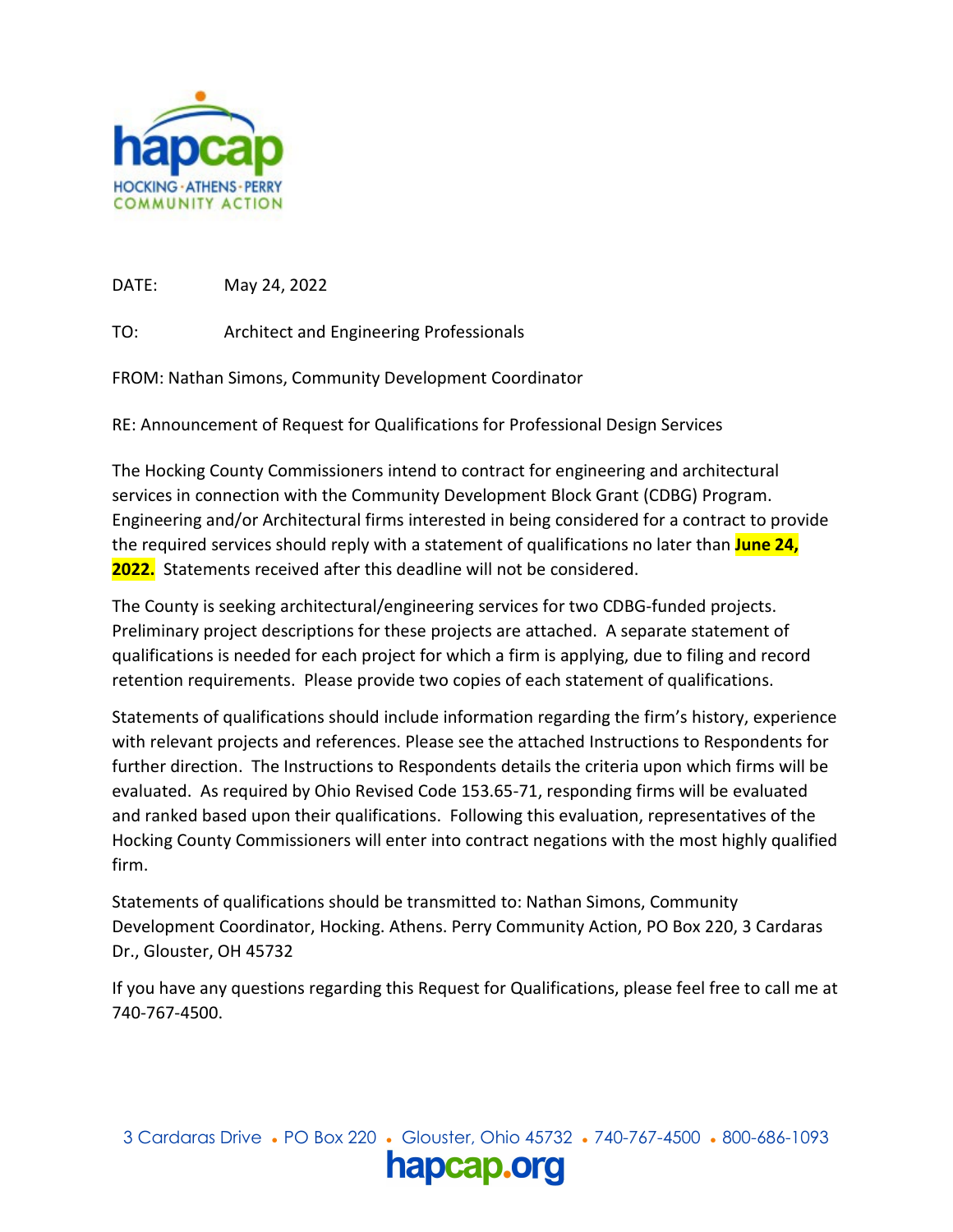

DATE: May 24, 2022

TO: Architect and Engineering Professionals

FROM: Nathan Simons, Community Development Coordinator

RE: Announcement of Request for Qualifications for Professional Design Services

The Hocking County Commissioners intend to contract for engineering and architectural services in connection with the Community Development Block Grant (CDBG) Program. Engineering and/or Architectural firms interested in being considered for a contract to provide the required services should reply with a statement of qualifications no later than **June 24, 2022.** Statements received after this deadline will not be considered.

The County is seeking architectural/engineering services for two CDBG-funded projects. Preliminary project descriptions for these projects are attached. A separate statement of qualifications is needed for each project for which a firm is applying, due to filing and record retention requirements. Please provide two copies of each statement of qualifications.

Statements of qualifications should include information regarding the firm's history, experience with relevant projects and references. Please see the attached Instructions to Respondents for further direction. The Instructions to Respondents details the criteria upon which firms will be evaluated. As required by Ohio Revised Code 153.65-71, responding firms will be evaluated and ranked based upon their qualifications. Following this evaluation, representatives of the Hocking County Commissioners will enter into contract negations with the most highly qualified firm.

Statements of qualifications should be transmitted to: Nathan Simons, Community Development Coordinator, Hocking. Athens. Perry Community Action, PO Box 220, 3 Cardaras Dr., Glouster, OH 45732

If you have any questions regarding this Request for Qualifications, please feel free to call me at 740-767-4500.

3 Cardaras Drive ● PO Box 220 ● Glouster, Ohio 45732 ● 740-767-4500 ● 800-686-1093 hapcap.org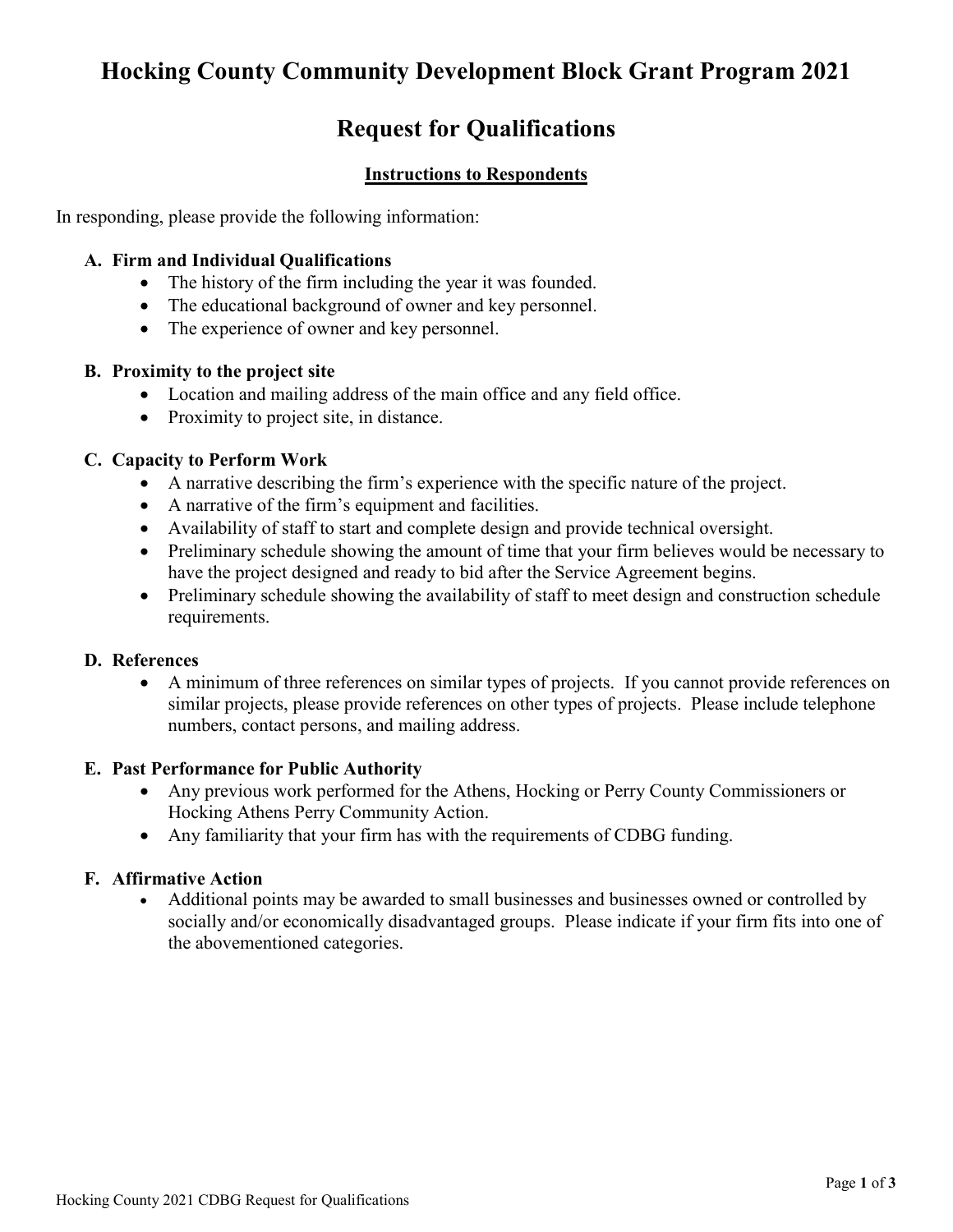# **Hocking County Community Development Block Grant Program 2021**

## **Request for Qualifications**

## **Instructions to Respondents**

In responding, please provide the following information:

#### **A. Firm and Individual Qualifications**

- The history of the firm including the year it was founded.
- The educational background of owner and key personnel.
- The experience of owner and key personnel.

### **B. Proximity to the project site**

- Location and mailing address of the main office and any field office.
- Proximity to project site, in distance.

### **C. Capacity to Perform Work**

- A narrative describing the firm's experience with the specific nature of the project.
- A narrative of the firm's equipment and facilities.
- Availability of staff to start and complete design and provide technical oversight.
- Preliminary schedule showing the amount of time that your firm believes would be necessary to have the project designed and ready to bid after the Service Agreement begins.
- Preliminary schedule showing the availability of staff to meet design and construction schedule requirements.

### **D. References**

• A minimum of three references on similar types of projects. If you cannot provide references on similar projects, please provide references on other types of projects. Please include telephone numbers, contact persons, and mailing address.

### **E. Past Performance for Public Authority**

- Any previous work performed for the Athens, Hocking or Perry County Commissioners or Hocking Athens Perry Community Action.
- Any familiarity that your firm has with the requirements of CDBG funding.

### **F. Affirmative Action**

• Additional points may be awarded to small businesses and businesses owned or controlled by socially and/or economically disadvantaged groups. Please indicate if your firm fits into one of the abovementioned categories.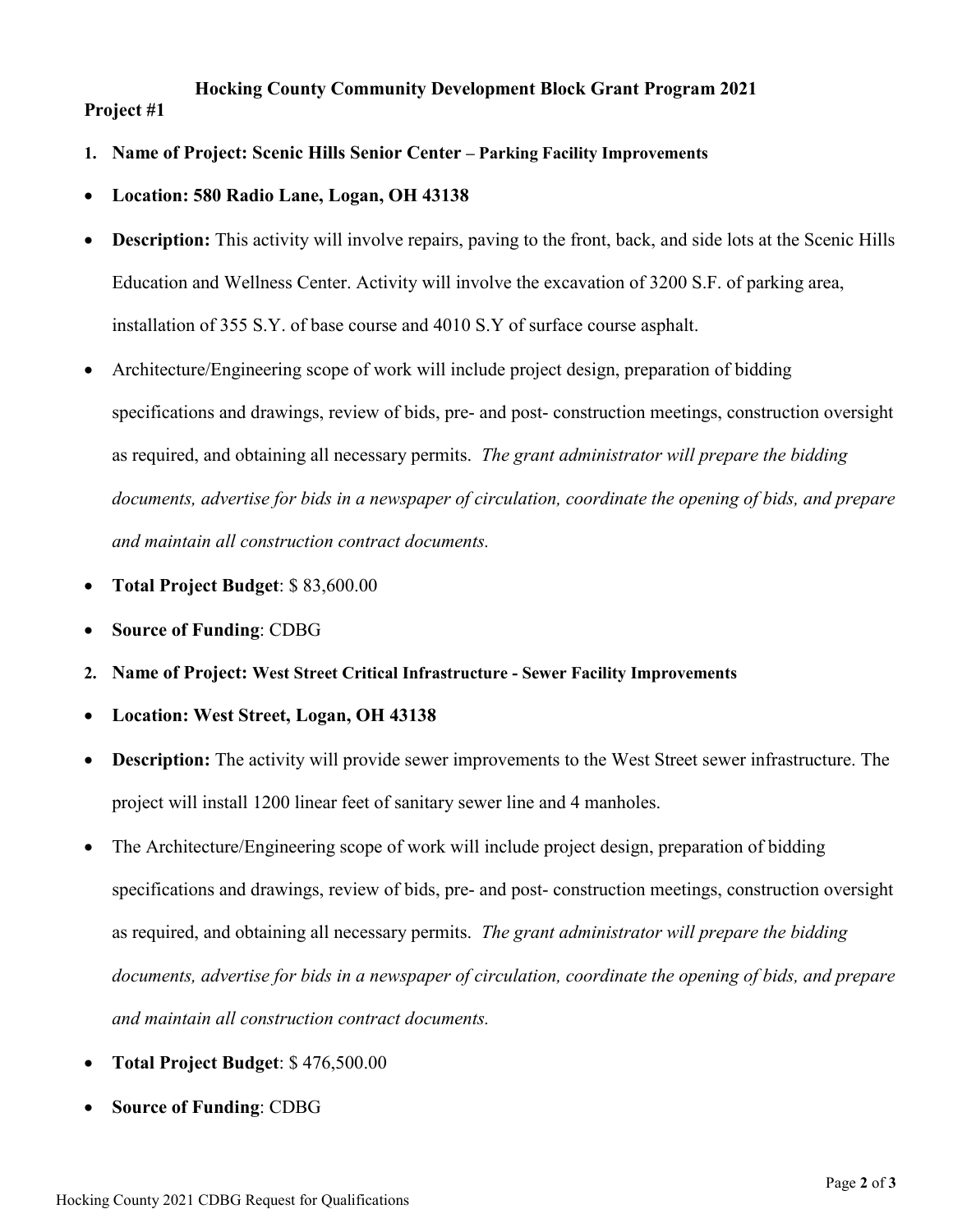## **Hocking County Community Development Block Grant Program 2021 Project #1**

- **1. Name of Project: Scenic Hills Senior Center Parking Facility Improvements**
- **Location: 580 Radio Lane, Logan, OH 43138**
- **Description:** This activity will involve repairs, paving to the front, back, and side lots at the Scenic Hills Education and Wellness Center. Activity will involve the excavation of 3200 S.F. of parking area, installation of 355 S.Y. of base course and 4010 S.Y of surface course asphalt.
- Architecture/Engineering scope of work will include project design, preparation of bidding specifications and drawings, review of bids, pre- and post- construction meetings, construction oversight as required, and obtaining all necessary permits. *The grant administrator will prepare the bidding documents, advertise for bids in a newspaper of circulation, coordinate the opening of bids, and prepare and maintain all construction contract documents.*
- **Total Project Budget**: \$ 83,600.00
- **Source of Funding**: CDBG
- **2. Name of Project: West Street Critical Infrastructure Sewer Facility Improvements**
- **Location: West Street, Logan, OH 43138**
- **Description:** The activity will provide sewer improvements to the West Street sewer infrastructure. The project will install 1200 linear feet of sanitary sewer line and 4 manholes.
- The Architecture/Engineering scope of work will include project design, preparation of bidding specifications and drawings, review of bids, pre- and post- construction meetings, construction oversight as required, and obtaining all necessary permits. *The grant administrator will prepare the bidding documents, advertise for bids in a newspaper of circulation, coordinate the opening of bids, and prepare and maintain all construction contract documents.*
- **Total Project Budget**: \$ 476,500.00
- **Source of Funding**: CDBG